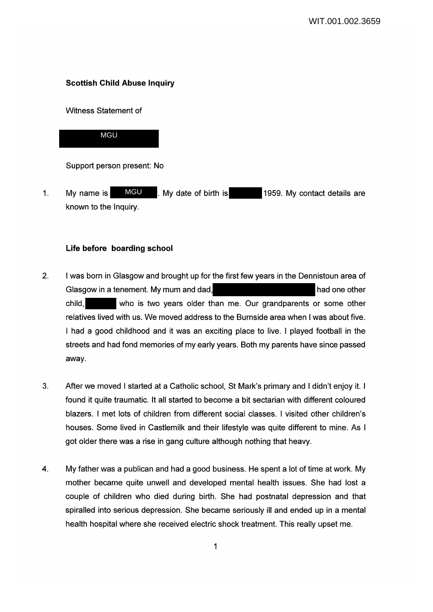## **Scottish Child Abuse Inquiry**

Witness Statement of



Support person present: No

1. My name is **MGU** . My date of birth is 1959. My contact details are known to the Inquiry. MGU

## **Life before boarding school**

- 2. I was born in Glasgow and brought up for the first few years in the Dennistoun area of Glasgow in a tenement. My mum and dad, had one other had one other child, who is two years older than me. Our grandparents or some other relatives lived with us. We moved address to the Burnside area when I was about five. I had a good childhood and it was an exciting place to live. I played football in the streets and had fond memories of my early years. Both my parents have since passed away.
- 3. After we moved I started at a Catholic school, St Mark's primary and I didn't enjoy it. I found it quite traumatic. It all started to become a bit sectarian with different coloured blazers. I met lots of children from different social classes. I visited other children's houses. Some lived in Castlemilk and their lifestyle was quite different to mine. As I got older there was a rise in gang culture although nothing that heavy.
- 4. My father was a publican and had a good business. He spent a lot of time at work. My mother became quite unwell and developed mental health issues. She had lost a couple of children who died during birth. She had postnatal depression and that spiralled into serious depression. She became seriously ill and ended up in a mental health hospital where she received electric shock treatment. This really upset me.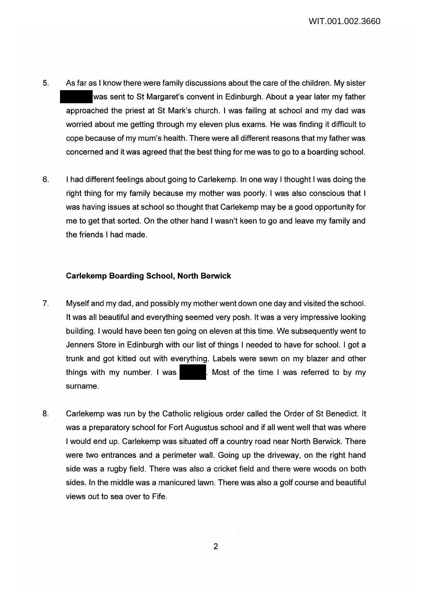- 5. As far as I know there were family discussions about the care of the children. My sister was sent to St Margaret's convent in Edinburgh. About a year later my father approached the priest at St Mark's church. I was failing at school and my dad was worried about me getting through my eleven plus exams. He was finding it difficult to cope because of my mum's health. There were all different reasons that my father was concerned and it was agreed that the best thing for me was to go to a boarding school.
- 6. I had different feelings about going to Carlekemp. In one way I thought I was doing the right thing for my family because my mother was poorly. I was also conscious that I was having issues at school so thought that Carlekemp may be a good opportunity for me to get that sorted. On the other hand I wasn't keen to go and leave my family and the friends I had made.

## **Carlekemp Boarding School, North Berwick**

- 7. Myself and my dad, and possibly my mother went down one day and visited the school. It was all beautiful and everything seemed very posh. It was a very impressive looking building. I would have been ten going on eleven at this time. We subsequently went to Jenners Store in Edinburgh with our list of things I needed to have for school. I got a trunk and got kitted out with everything. Labels were sewn on my blazer and other things with my number. I was . Most of the time I was referred to by my surname.
- 8. Carlekemp was run by the Catholic religious order called the Order of St Benedict. It was a preparatory school for Fort Augustus school and if all went well that was where I would end up. Carlekemp was situated off a country road near North Berwick. There were two entrances and a perimeter wall. Going up the driveway, on the right hand side was a rugby field. There was also a cricket field and there were woods on both sides. In the middle was a manicured lawn. There was also a golf course and beautiful views out to sea over to Fife.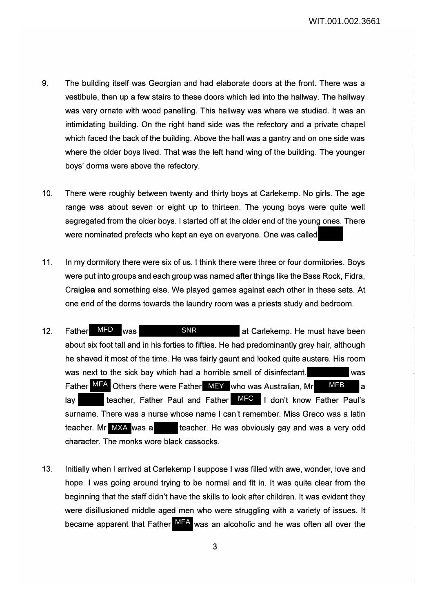WIT.001.002.3661

- 9. The building itself was Georgian and had elaborate doors at the front. There was a vestibule, then up a few stairs to these doors which led into the hallway. The hallway was very ornate with wood panelling. This hallway was where we studied. It was an intimidating building. On the right hand side was the refectory and a private chapel which faced the back of the building. Above the hall was a gantry and on one side was where the older boys lived. That was the left hand wing of the building. The younger boys' dorms were above the refectory.
- 10. There were roughly between twenty and thirty boys at Carlekemp. No girls. The age range was about seven or eight up to thirteen. The young boys were quite well segregated from the older boys. I started off at the older end of the young ones. There were nominated prefects who kept an eye on everyone. One was called
- 11. In my dormitory there were six of us. I think there were three or four dormitories. Boys were put into groups and each group was named after things like the Bass Rock, Fidra, Craiglea and something else. We played games against each other in these sets. At one end of the dorms towards the laundry room was a priests study and bedroom.
- 12. Father MFD was **SNR** at Carlekemp. He must have been about six foot tall and in his forties to fifties. He had predominantly grey hair, although he shaved it most of the time. He was fairly gaunt and looked quite austere. His room was next to the sick bay which had a horrible smell of disinfectant. Father MFA Others there were Father MEY who was Australian, Mr MFB a lay **teacher, Father Paul and Father MFC** I don't know Father Paul's surname. There was a nurse whose name I can't remember. Miss Greco was a latin teacher. He was obviously gay and was a very odd character. The monks wore black cassocks. MFD teacher. Mr MXA was a SNR
- 13. Initially when I arrived at Carlekemp I suppose I was filled with awe, wonder, love and hope. I was going around trying to be normal and fit in. It was quite clear from the beginning that the staff didn't have the skills to look after children. It was evident they were disillusioned middle aged men who were struggling with a variety of issues. It became apparent that Father MFA was an alcoholic and he was often all over the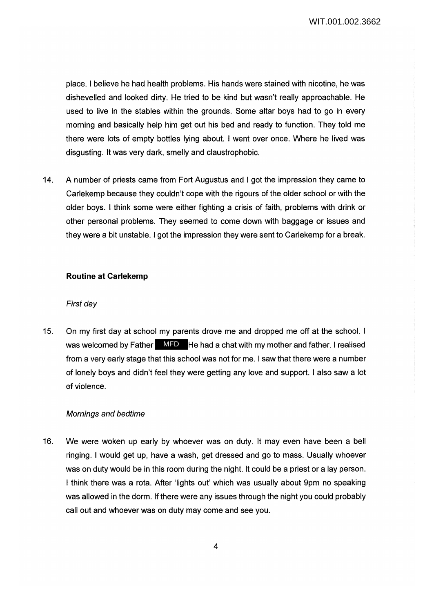place. I believe he had health problems. His hands were stained with nicotine, he was dishevelled and looked dirty. He tried to be kind but wasn't really approachable. He used to live in the stables within the grounds. Some altar boys had to go in every morning and basically help him get out his bed and ready to function. They told me there were lots of empty bottles lying about. I went over once. Where he lived was disgusting. It was very dark, smelly and claustrophobic.

14. A number of priests came from Fort Augustus and I got the impression they came to Carlekemp because they couldn't cope with the rigours of the older school or with the older boys. I think some were either fighting a crisis of faith, problems with drink or other personal problems. They seemed to come down with baggage or issues and they were a bit unstable. I got the impression they were sent to Carlekemp for a break.

#### **Routine at Carlekemp**

#### First day

15. On my first day at school my parents drove me and dropped me off at the school. I was welcomed by Father **MFD** He had a chat with my mother and father. I realised from a very early stage that this school was not for me. I saw that there were a number of lonely boys and didn't feel they were getting any love and support. I also saw a lot of violence.

#### Mornings and bedtime

16. We were woken up early by whoever was on duty. It may even have been a bell ringing. I would get up, have a wash, get dressed and go to mass. Usually whoever was on duty would be in this room during the night. It could be a priest or a lay person. I think there was a rota. After 'lights out' which was usually about 9pm no speaking was allowed in the dorm. If there were any issues through the night you could probably call out and whoever was on duty may come and see you.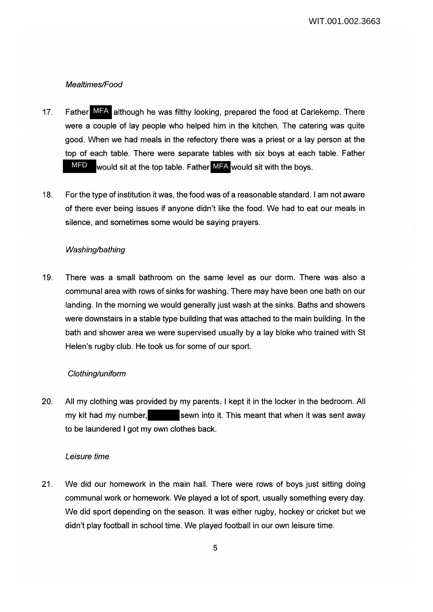# Mealtimes/Food

- 17. Father MFA although he was filthy looking, prepared the food at Carlekemp. There were a couple of lay people who helped him in the kitchen. The catering was quite good. When we had meals in the refectory there was a priest or a lay person at the top of each table. There were separate tables with six boys at each table. Father MFD would sit at the top table. Father MFA would sit with the boys.
- 18. For the type of institution it was, the food was of a reasonable standard. I am not aware of there ever being issues if anyone didn't like the food. We had to eat our meals in silence, and sometimes some would be saying prayers.

## Washing/bathing

19. There was a small bathroom on the same level as our dorm. There was also a communal area with rows of sinks for washing. There may have been one bath on our landing. In the morning we would generally just wash at the sinks. Baths and showers were downstairs in a stable type building that was attached to the main building. In the bath and shower area we were supervised usually by a lay bloke who trained with St Helen's rugby club. He took us for some of our sport.

#### Clothing/uniform

20. All my clothing was provided by my parents. I kept it in the locker in the bedroom. All my kit had my number, sewn into it. This meant that when it was sent away to be laundered I got my own clothes back.

#### Leisure time

21. We did our homework in the main hall. There were rows of boys just sitting doing communal work or homework. We played a lot of sport, usually something every day. We did sport depending on the season. It was either rugby, hockey or cricket but we didn't play football in school time. We played football in our own leisure time.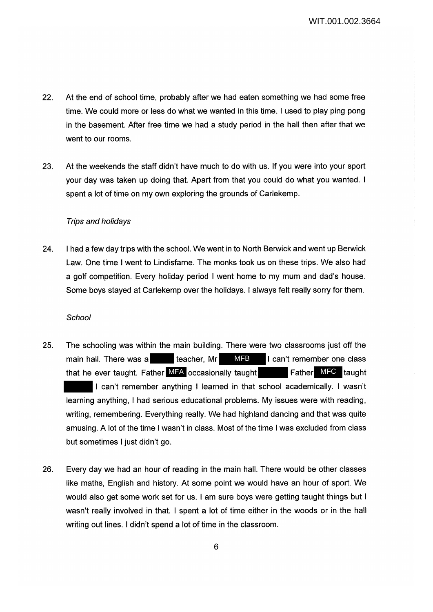- 22. At the end of school time, probably after we had eaten something we had some free time. We could more or less do what we wanted in this time. I used to play ping pong in the basement. After free time we had a study period in the hall then after that we went to our rooms.
- 23. At the weekends the staff didn't have much to do with us. If you were into your sport your day was taken up doing that. Apart from that you could do what you wanted. I spent a lot of time on my own exploring the grounds of Carlekemp.

#### Trips and holidays

24. I had a few day trips with the school. We went in to North Berwick and went up Berwick Law. One time I went to Lindisfarne. The monks took us on these trips. We also had a golf competition. Every holiday period I went home to my mum and dad's house. Some boys stayed at Carlekemp over the holidays. I always felt really sorry for them.

#### **School**

- 25. The schooling was within the main building. There were two classrooms just off the main hall. There was a teacher, Mr **IMFB** I can't remember one class that he ever taught. Father MFA occasionally taught **Father MFC** taught I can't remember anything I learned in that school academically. I wasn't learning anything, I had serious educational problems. My issues were with reading, writing, remembering. Everything really. We had highland dancing and that was quite amusing. A lot of the time I wasn't in class. Most of the time I was excluded from class but sometimes I just didn't go. **MFB**
- 26. Every day we had an hour of reading in the main hall. There would be other classes like maths, English and history. At some point we would have an hour of sport. We would also get some work set for us. I am sure boys were getting taught things but I wasn't really involved in that. I spent a lot of time either in the woods or in the hall writing out lines. I didn't spend a lot of time in the classroom.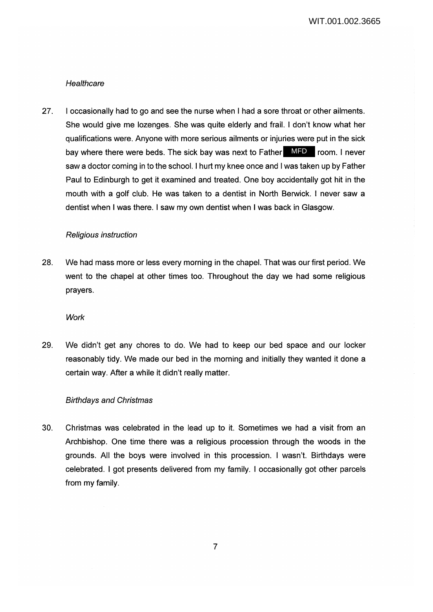#### **Healthcare**

27. I occasionally had to go and see the nurse when I had a sore throat or other ailments. She would give me lozenges. She was quite elderly and frail. I don't know what her qualifications were. Anyone with more serious ailments or injuries were put in the sick bay where there were beds. The sick bay was next to Father **MFD** room. I never saw a doctor coming in to the school. I hurt my knee once and I was taken up by Father Paul to Edinburgh to get it examined and treated. One boy accidentally got hit in the mouth with a golf club. He was taken to a dentist in North Berwick. I never saw a dentist when I was there. I saw my own dentist when I was back in Glasgow.

#### Religious instruction

28. We had mass more or less every morning in the chapel. That was our first period. We went to the chapel at other times too. Throughout the day we had some religious prayers.

#### **Work**

29. We didn't get any chores to do. We had to keep our bed space and our locker reasonably tidy. We made our bed in the morning and initially they wanted it done a certain way. After a while it didn't really matter.

#### Birthdays and Christmas

30. Christmas was celebrated in the lead up to it. Sometimes we had a visit from an Archbishop. One time there was a religious procession through the woods in the grounds. All the boys were involved in this procession. I wasn't. Birthdays were celebrated. I got presents delivered from my family. I occasionally got other parcels from my family.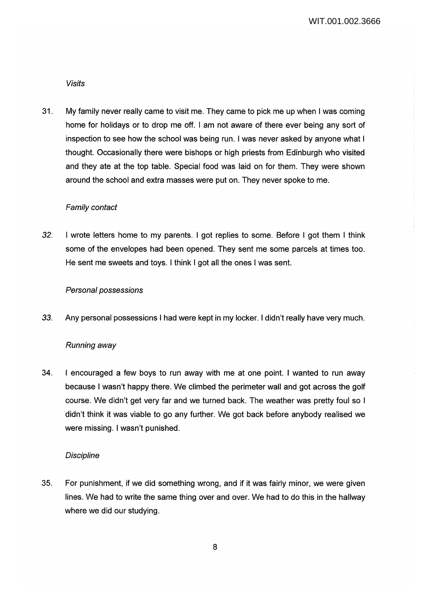Visits

31. My family never really came to visit me. They came to pick me up when I was coming home for holidays or to drop me off. I am not aware of there ever being any sort of inspection to see how the school was being run. I was never asked by anyone what I thought. Occasionally there were bishops or high priests from Edinburgh who visited and they ate at the top table. Special food was laid on for them. They were shown around the school and extra masses were put on. They never spoke to me.

## Family contact

*32.* I wrote letters home to my parents. I got replies to some. Before I got them I think some of the envelopes had been opened. They sent me some parcels at times too. He sent me sweets and toys. I think I got all the ones I was sent.

## Personal possessions

*33.* Any personal possessions I had were kept in my locker. I didn't really have very much.

## Running away

34. I encouraged a few boys to run away with me at one point. I wanted to run away because I wasn't happy there. We climbed the perimeter wall and got across the golf course. We didn't get very far and we turned back. The weather was pretty foul so I didn't think it was viable to go any further. We got back before anybody realised we were missing. I wasn't punished.

#### **Discipline**

35. For punishment, if we did something wrong, and if it was fairly minor, we were given lines. We had to write the same thing over and over. We had to do this in the hallway where we did our studying.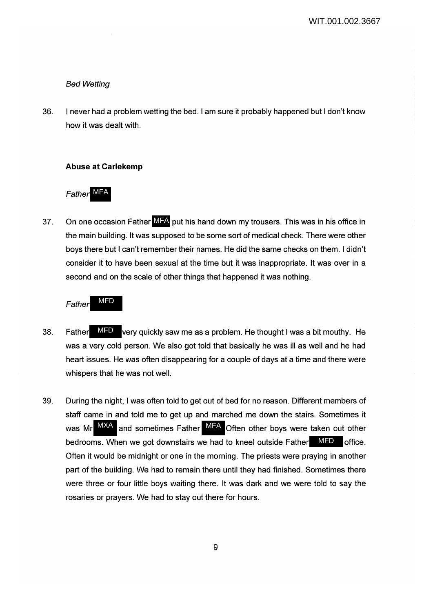## Bed Wetting

36. I never had a problem wetting the bed. I am sure it probably happened but I don't know how it was dealt with.

## **Abuse at Carlekemp**

Father MFA

37. On one occasion Father MFA put his hand down my trousers. This was in his office in the main building. It was supposed to be some sort of medical check. There were other boys there but I can't remember their names. He did the same checks on them. I didn't consider it to have been sexual at the time but it was inappropriate. It was over in a second and on the scale of other things that happened it was nothing.

Father MFD

- 38. Father MFD very quickly saw me as a problem. He thought I was a bit mouthy. He was a very cold person. We also got told that basically he was ill as well and he had heart issues. He was often disappearing for a couple of days at a time and there were whispers that he was not well. MFD
- 39. During the night, I was often told to get out of bed for no reason. Different members of staff came in and told me to get up and marched me down the stairs. Sometimes it was Mr  $^{MXA}$  and sometimes Father MFA Often other boys were taken out other bedrooms. When we got downstairs we had to kneel outside Father MFD office. Often it would be midnight or one in the morning. The priests were praying in another part of the building. We had to remain there until they had finished. Sometimes there were three or four little boys waiting there. It was dark and we were told to say the rosaries or prayers. We had to stay out there for hours.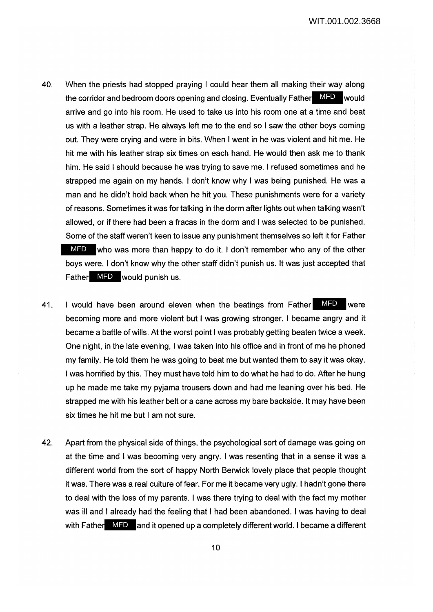- 40. When the priests had stopped praying I could hear them all making their way along the corridor and bedroom doors opening and closing. Eventually Father MFD would arrive and go into his room. He used to take us into his room one at a time and beat us with a leather strap. He always left me to the end so I saw the other boys coming out. They were crying and were in bits. When I went in he was violent and hit me. He hit me with his leather strap six times on each hand. He would then ask me to thank him. He said I should because he was trying to save me. I refused sometimes and he strapped me again on my hands. I don't know why I was being punished. He was a man and he didn't hold back when he hit you. These punishments were for a variety of reasons. Sometimes it was for talking in the dorm after lights out when talking wasn't allowed, or if there had been a fracas in the dorm and I was selected to be punished. Some of the staff weren't keen to issue any punishment themselves so left it for Father MFD who was more than happy to do it. I don't remember who any of the other boys were. I don't know why the other staff didn't punish us. It was just accepted that Father MFD would punish us.
- 41. I would have been around eleven when the beatings from Father MFD were becoming more and more violent but I was growing stronger. I became angry and it became a battle of wills. At the worst point I was probably getting beaten twice a week. One night, in the late evening, I was taken into his office and in front of me he phoned my family. He told them he was going to beat me but wanted them to say it was okay. I was horrified by this. They must have told him to do what he had to do. After he hung up he made me take my pyjama trousers down and had me leaning over his bed. He strapped me with his leather belt or a cane across my bare backside. It may have been six times he hit me but I am not sure.
- 42. Apart from the physical side of things, the psychological sort of damage was going on at the time and I was becoming very angry. I was resenting that in a sense it was a different world from the sort of happy North Berwick lovely place that people thought it was. There was a real culture of fear. For me it became very ugly. I hadn't gone there to deal with the loss of my parents. I was there trying to deal with the fact my mother was ill and I already had the feeling that I had been abandoned. I was having to deal with Father MFD and it opened up a completely different world. I became a different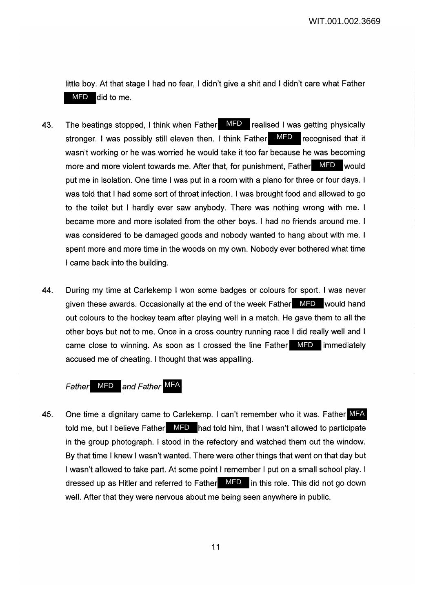little boy. At that stage I had no fear, I didn't give a shit and I didn't care what Father MFD did to me.

- 43. The beatings stopped, I think when Father MFD realised I was getting physically stronger. I was possibly still eleven then. I think Father MFD recognised that it wasn't working or he was worried he would take it too far because he was becoming more and more violent towards me. After that, for punishment, Father MFD would put me in isolation. One time I was put in a room with a piano for three or four days. I was told that I had some sort of throat infection. I was brought food and allowed to go to the toilet but I hardly ever saw anybody. There was nothing wrong with me. I became more and more isolated from the other boys. I had no friends around me. I was considered to be damaged goods and nobody wanted to hang about with me. I spent more and more time in the woods on my own. Nobody ever bothered what time I came back into the building.
- 44. During my time at Carlekemp I won some badges or colours for sport. I was never given these awards. Occasionally at the end of the week Father **MFD** would hand out colours to the hockey team after playing well in a match. He gave them to all the other boys but not to me. Once in a cross country running race I did really well and I came close to winning. As soon as I crossed the line Father **MFD** immediately accused me of cheating. I thought that was appalling.

# Father MFD and Father MFA

45. One time a dignitary came to Carlekemp. I can't remember who it was. Father MFA told me, but I believe Father MFD had told him, that I wasn't allowed to participate in the group photograph. I stood in the refectory and watched them out the window. By that time I knew I wasn't wanted. There were other things that went on that day but I wasn't allowed to take part. At some point I remember I put on a small school play. I dressed up as Hitler and referred to Father MFD in this role. This did not go down well. After that they were nervous about me being seen anywhere in public.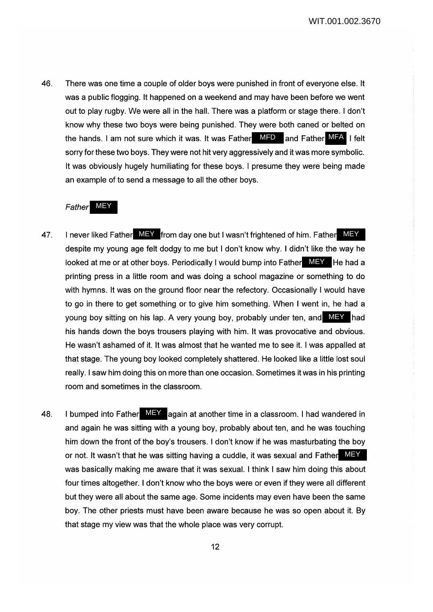46. There was one time a couple of older boys were punished in front of everyone else. It was a public flogging. It happened on a weekend and may have been before we went out to play rugby. We were all in the hall. There was a platform or stage there. I don't know why these two boys were being punished. They were both caned or belted on the hands. I am not sure which it was. It was Father MFD and Father MFA I felt sorry for these two boys. They were not hit very aggressively and it was more symbolic. It was obviously hugely humiliating for these boys. I presume they were being made an example of to send a message to all the other boys.

## Father MEY

- 47. I never liked Father MEY from day one but I wasn't frightened of him. Father MEY despite my young age felt dodgy to me but I don't know why. I didn't like the way he looked at me or at other boys. Periodically I would bump into Father MEY He had a printing press in a little room and was doing a school magazine or something to do with hymns. It was on the ground floor near the refectory. Occasionally I would have to go in there to get something or to give him something. When I went in, he had a young boy sitting on his lap. A very young boy, probably under ten, and MEY had his hands down the boys trousers playing with him. It was provocative and obvious. He wasn't ashamed of it. It was almost that he wanted me to see it. I was appalled at that stage. The young boy looked completely shattered. He looked like a little lost soul really. I saw him doing this on more than one occasion. Sometimes it was in his printing room and sometimes in the classroom.
- 48. I bumped into Father MEY again at another time in a classroom. I had wandered in and again he was sitting with a young boy, probably about ten, and he was touching him down the front of the boy's trousers. I don't know if he was masturbating the boy or not. It wasn't that he was sitting having a cuddle, it was sexual and Father MEY was basically making me aware that it was sexual. I think I saw him doing this about four times altogether. I don't know who the boys were or even if they were all different but they were all about the same age. Some incidents may even have been the same boy. The other priests must have been aware because he was so open about it. By that stage my view was that the whole place was very corrupt.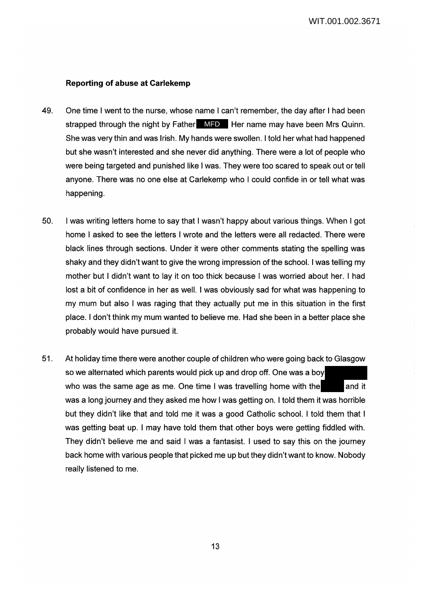## **Reporting of abuse at Carlekemp**

- 49. One time I went to the nurse, whose name I can't remember, the day after I had been strapped through the night by Father MFD Her name may have been Mrs Quinn. She was very thin and was Irish. My hands were swollen. I told her what had happened but she wasn't interested and she never did anything. There were a lot of people who were being targeted and punished like I was. They were too scared to speak out or tell anyone. There was no one else at Carlekemp who I could confide in or tell what was happening.
- 50. I was writing letters home to say that I wasn't happy about various things. When I got home I asked to see the letters I wrote and the letters were all redacted. There were black lines through sections. Under it were other comments stating the spelling was shaky and they didn't want to give the wrong impression of the school. I was telling my mother but I didn't want to lay it on too thick because I was worried about her. I had lost a bit of confidence in her as well. I was obviously sad for what was happening to my mum but also I was raging that they actually put me in this situation in the first place. I don't think my mum wanted to believe me. Had she been in a better place she probably would have pursued it.
- 51. At holiday time there were another couple of children who were going back to Glasgow so we alternated which parents would pick up and drop off. One was a boy who was the same age as me. One time I was travelling home with the  $\qquad$  and it was a long journey and they asked me how I was getting on. I told them it was horrible but they didn't like that and told me it was a good Catholic school. I told them that I was getting beat up. I may have told them that other boys were getting fiddled with. They didn't believe me and said I was a fantasist. I used to say this on the journey back home with various people that picked me up but they didn't want to know. Nobody really listened to me.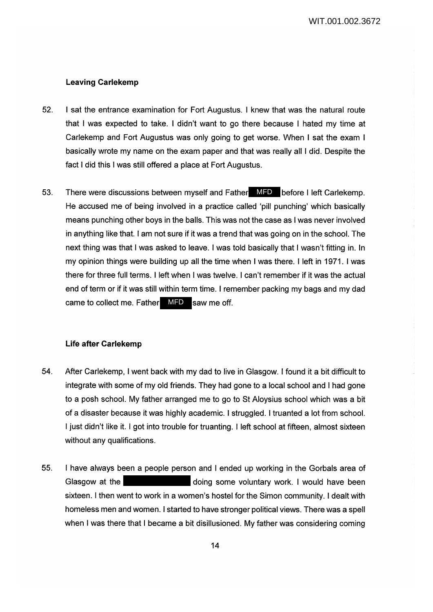## **Leaving Carlekemp**

- 52. I sat the entrance examination for Fort Augustus. I knew that was the natural route that I was expected to take. I didn't want to go there because I hated my time at Carlekemp and Fort Augustus was only going to get worse. When I sat the exam I basically wrote my name on the exam paper and that was really all I did. Despite the fact I did this I was still offered a place at Fort Augustus.
- 53. There were discussions between myself and Father MFD before I left Carlekemp. He accused me of being involved in a practice called 'pill punching' which basically means punching other boys in the balls. This was not the case as I was never involved in anything like that. I am not sure if it was a trend that was going on in the school. The next thing was that I was asked to leave. I was told basically that I wasn't fitting in. In my opinion things were building up all the time when I was there. I left in 1971. I was there for three full terms. I left when I was twelve. I can't remember if it was the actual end of term or if it was still within term time. I remember packing my bags and my dad came to collect me. Father MFD saw me off.

## **Life after Carlekemp**

- 54. After Carlekemp, I went back with my dad to live in Glasgow. I found it a bit difficult to integrate with some of my old friends. They had gone to a local school and I had gone to a posh school. My father arranged me to go to St Aloysius school which was a bit of a disaster because it was highly academic. I struggled. I truanted a lot from school. I just didn't like it. I got into trouble for truanting. I left school at fifteen, almost sixteen without any qualifications.
- 55. I have always been a people person and I ended up working in the Gorbals area of Glasgow at the **doing some voluntary work.** I would have been sixteen. I then went to work in a women's hostel for the Simon community. I dealt with homeless men and women. I started to have stronger political views. There was a spell when I was there that I became a bit disillusioned. My father was considering coming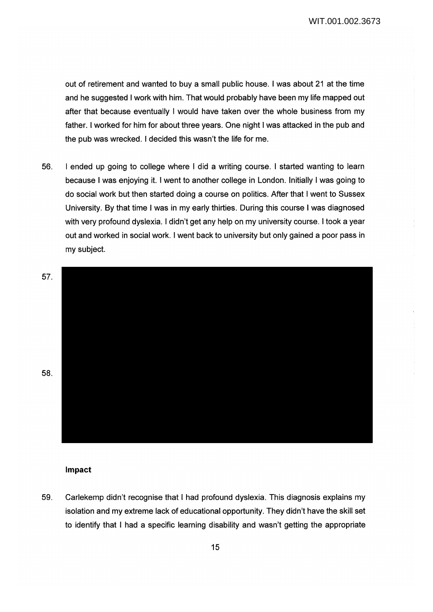out of retirement and wanted to buy a small public house. I was about 21 at the time and he suggested I work with him. That would probably have been my life mapped out after that because eventually I would have taken over the whole business from my father. I worked for him for about three years. One night I was attacked in the pub and the pub was wrecked. I decided this wasn't the life for me.

56. I ended up going to college where I did a writing course. I started wanting to learn because I was enjoying it. I went to another college in London. Initially I was going to do social work but then started doing a course on politics. After that I went to Sussex University. By that time I was in my early thirties. During this course I was diagnosed with very profound dyslexia. I didn't get any help on my university course. I took a year out and worked in social work. I went back to university but only gained a poor pass in my subject.



#### **Impact**

59. Carlekemp didn't recognise that I had profound dyslexia. This diagnosis explains my isolation and my extreme lack of educational opportunity. They didn't have the skill set to identify that I had a specific learning disability and wasn't getting the appropriate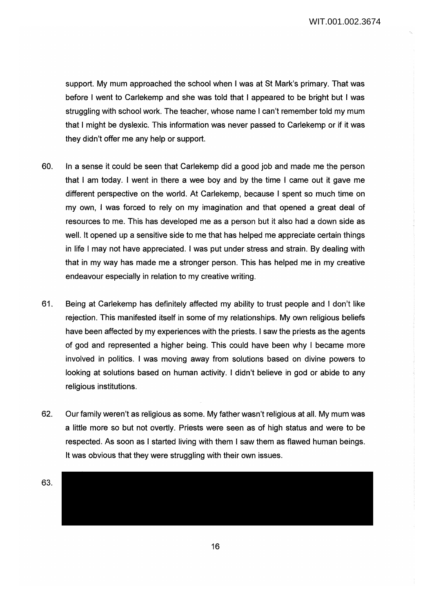support. My mum approached the school when I was at St Mark's primary. That was before I went to Carlekemp and she was told that I appeared to be bright but I was struggling with school work. The teacher, whose name I can't remember told my mum that I might be dyslexic. This information was never passed to Carlekemp or if it was they didn't offer me any help or support.

- 60. In a sense it could be seen that Carlekemp did a good job and made me the person that I am today. I went in there a wee boy and by the time I came out it gave me different perspective on the world. At Carlekemp, because I spent so much time on my own, I was forced to rely on my imagination and that opened a great deal of resources to me. This has developed me as a person but it also had a down side as well. It opened up a sensitive side to me that has helped me appreciate certain things in life I may not have appreciated. I was put under stress and strain. By dealing with that in my way has made me a stronger person. This has helped me in my creative endeavour especially in relation to my creative writing.
- 61. Being at Carlekemp has definitely affected my ability to trust people and I don't like rejection. This manifested itself in some of my relationships. My own religious beliefs have been affected by my experiences with the priests. I saw the priests as the agents of god and represented a higher being. This could have been why I became more involved in politics. I was moving away from solutions based on divine powers to looking at solutions based on human activity. I didn't believe in god or abide to any religious institutions.
- 62. Our family weren't as religious as some. My father wasn't religious at all. My mum was a little more so but not overtly. Priests were seen as of high status and were to be respected. As soon as I started living with them I saw them as flawed human beings. It was obvious that they were struggling with their own issues.
- 63.

16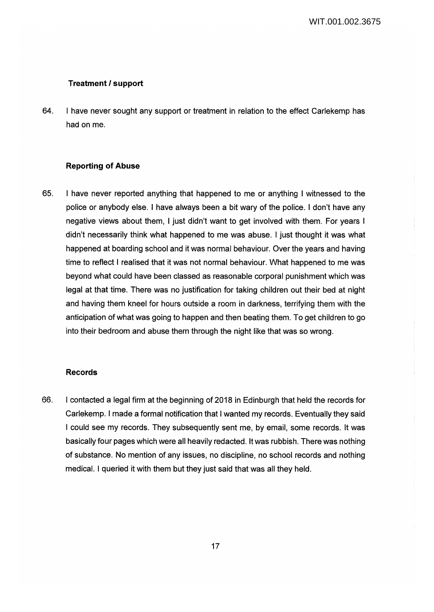# **Treatment I support**

64. I have never sought any support or treatment in relation to the effect Carlekemp has had on me.

## **Reporting of Abuse**

65. I have never reported anything that happened to me or anything I witnessed to the police or anybody else. I have always been a bit wary of the police. I don't have any negative views about them, I just didn't want to get involved with them. For years I didn't necessarily think what happened to me was abuse. I just thought it was what happened at boarding school and it was normal behaviour. Over the years and having time to reflect I realised that it was not normal behaviour. What happened to me was beyond what could have been classed as reasonable corporal punishment which was legal at that time. There was no justification for taking children out their bed at night and having them kneel for hours outside a room in darkness, terrifying them with the anticipation of what was going to happen and then beating them. To get children to go into their bedroom and abuse them through the night like that was so wrong.

# **Records**

66. I contacted a legal firm at the beginning of 2018 in Edinburgh that held the records for Carlekemp. I made a formal notification that I wanted my records. Eventually they said I could see my records. They subsequently sent me, by email, some records. It was basically four pages which were all heavily redacted. It was rubbish. There was nothing of substance. No mention of any issues, no discipline, no school records and nothing medical. I queried it with them but they just said that was all they held.